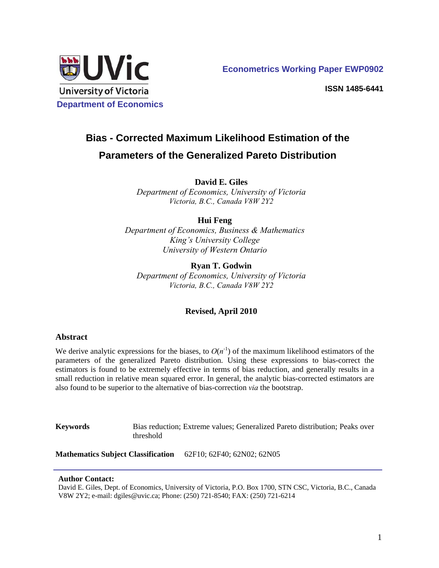

 **Econometrics Working Paper EWP0902** 

**ISSN 1485-6441**

# **Bias - Corrected Maximum Likelihood Estimation of the Parameters of the Generalized Pareto Distribution**

**David E. Giles** 

*Department of Economics, University of Victoria Victoria, B.C., Canada V8W 2Y2* 

# **Hui Feng**

*Department of Economics, Business & Mathematics King's University College University of Western Ontario*

**Ryan T. Godwin**  *Department of Economics, University of Victoria Victoria, B.C., Canada V8W 2Y2* 

# **Revised, April 2010**

## **Abstract**

We derive analytic expressions for the biases, to  $O(n<sup>-1</sup>)$  of the maximum likelihood estimators of the parameters of the generalized Pareto distribution. Using these expressions to bias-correct the estimators is found to be extremely effective in terms of bias reduction, and generally results in a small reduction in relative mean squared error. In general, the analytic bias-corrected estimators are also found to be superior to the alternative of bias-correction *via* the bootstrap.

**Keywords** Bias reduction; Extreme values; Generalized Pareto distribution; Peaks over threshold

**Mathematics Subject Classification** 62F10; 62F40; 62N02; 62N05

## **Author Contact:**

David E. Giles, Dept. of Economics, University of Victoria, P.O. Box 1700, STN CSC, Victoria, B.C., Canada V8W 2Y2; e-mail: dgiles@uvic.ca; Phone: (250) 721-8540; FAX: (250) 721-6214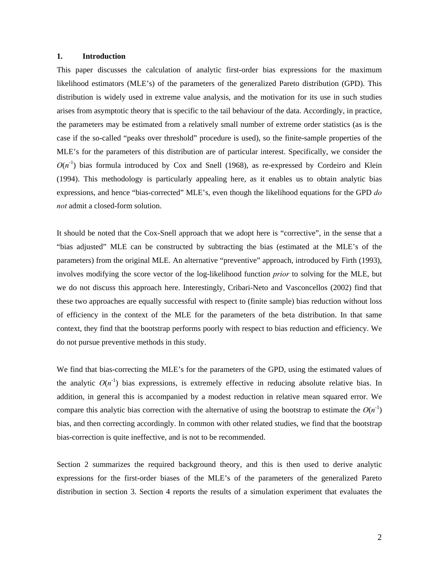#### **1. Introduction**

This paper discusses the calculation of analytic first-order bias expressions for the maximum likelihood estimators (MLE's) of the parameters of the generalized Pareto distribution (GPD). This distribution is widely used in extreme value analysis, and the motivation for its use in such studies arises from asymptotic theory that is specific to the tail behaviour of the data. Accordingly, in practice, the parameters may be estimated from a relatively small number of extreme order statistics (as is the case if the so-called "peaks over threshold" procedure is used), so the finite-sample properties of the MLE's for the parameters of this distribution are of particular interest. Specifically, we consider the  $O(n^{-1})$  bias formula introduced by Cox and Snell (1968), as re-expressed by Cordeiro and Klein (1994). This methodology is particularly appealing here, as it enables us to obtain analytic bias expressions, and hence "bias-corrected" MLE's, even though the likelihood equations for the GPD *do not* admit a closed-form solution.

It should be noted that the Cox-Snell approach that we adopt here is "corrective", in the sense that a "bias adjusted" MLE can be constructed by subtracting the bias (estimated at the MLE's of the parameters) from the original MLE. An alternative "preventive" approach, introduced by Firth (1993), involves modifying the score vector of the log-likelihood function *prior* to solving for the MLE, but we do not discuss this approach here. Interestingly, Cribari-Neto and Vasconcellos (2002) find that these two approaches are equally successful with respect to (finite sample) bias reduction without loss of efficiency in the context of the MLE for the parameters of the beta distribution. In that same context, they find that the bootstrap performs poorly with respect to bias reduction and efficiency. We do not pursue preventive methods in this study.

We find that bias-correcting the MLE's for the parameters of the GPD, using the estimated values of the analytic  $O(n^{-1})$  bias expressions, is extremely effective in reducing absolute relative bias. In addition, in general this is accompanied by a modest reduction in relative mean squared error. We compare this analytic bias correction with the alternative of using the bootstrap to estimate the  $O(n^{-1})$ bias, and then correcting accordingly. In common with other related studies, we find that the bootstrap bias-correction is quite ineffective, and is not to be recommended.

Section 2 summarizes the required background theory, and this is then used to derive analytic expressions for the first-order biases of the MLE's of the parameters of the generalized Pareto distribution in section 3. Section 4 reports the results of a simulation experiment that evaluates the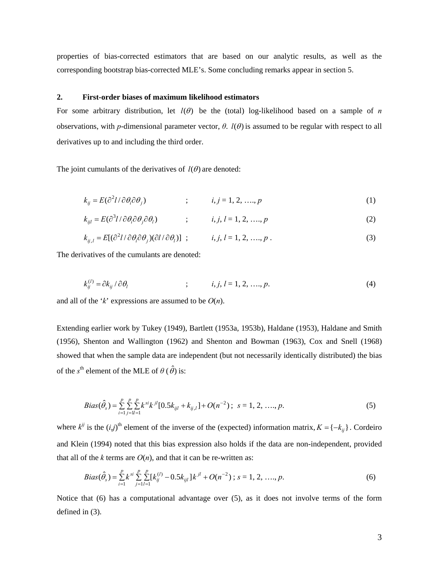properties of bias-corrected estimators that are based on our analytic results, as well as the corresponding bootstrap bias-corrected MLE's. Some concluding remarks appear in section 5.

#### **2. First-order biases of maximum likelihood estimators**

For some arbitrary distribution, let  $l(\theta)$  be the (total) log-likelihood based on a sample of *n* observations, with *p*-dimensional parameter vector,  $\theta$ .  $l(\theta)$  is assumed to be regular with respect to all derivatives up to and including the third order.

The joint cumulants of the derivatives of  $l(\theta)$  are denoted:

$$
k_{ij} = E(\partial^2 l / \partial \theta_i \partial \theta_j)
$$
 ;  $i, j = 1, 2, ..., p$  (1)

$$
k_{ijl} = E(\partial^3 l / \partial \theta_i \partial \theta_j \partial \theta_l) \qquad ; \qquad i, j, l = 1, 2, \dots, p \tag{2}
$$

$$
k_{ij,l} = E[(\partial^2 l/\partial \theta_i \partial \theta_j)(\partial l/\partial \theta_l)] \quad ; \qquad i, j, l = 1, 2, \dots, p \tag{3}
$$

The derivatives of the cumulants are denoted:

$$
k_{ij}^{(l)} = \partial k_{ij} / \partial \theta_l \qquad ; \qquad i, j, l = 1, 2, ..., p. \tag{4}
$$

and all of the '*k*' expressions are assumed to be *O*(*n*).

Extending earlier work by Tukey (1949), Bartlett (1953a, 1953b), Haldane (1953), Haldane and Smith (1956), Shenton and Wallington (1962) and Shenton and Bowman (1963), Cox and Snell (1968) showed that when the sample data are independent (but not necessarily identically distributed) the bias of the  $s^{\text{th}}$  element of the MLE of  $\theta$  ( $\hat{\theta}$ ) is:

$$
Bias(\hat{\theta}_s) = \sum_{i=1}^{p} \sum_{j=l}^{p} \sum_{j=l}^{p} k^{si} k^{jl} [0.5k_{ijl} + k_{ij,l}] + O(n^{-2}); \ s = 1, 2, \dots, p.
$$
 (5)

where  $k^{ij}$  is the  $(i,j)$ <sup>th</sup> element of the inverse of the (expected) information matrix,  $K = \{-k_{ij}\}\$ . Cordeiro and Klein (1994) noted that this bias expression also holds if the data are non-independent, provided that all of the  $k$  terms are  $O(n)$ , and that it can be re-written as:

$$
Bias(\hat{\theta}_s) = \sum_{i=1}^{p} k^{si} \sum_{j=1}^{p} \sum_{l=1}^{p} [k_{ij}^{(l)} - 0.5k_{ijl}]k^{jl} + O(n^{-2}) \; ; \; s = 1, 2, \; \dots, p. \tag{6}
$$

Notice that (6) has a computational advantage over (5), as it does not involve terms of the form defined in (3).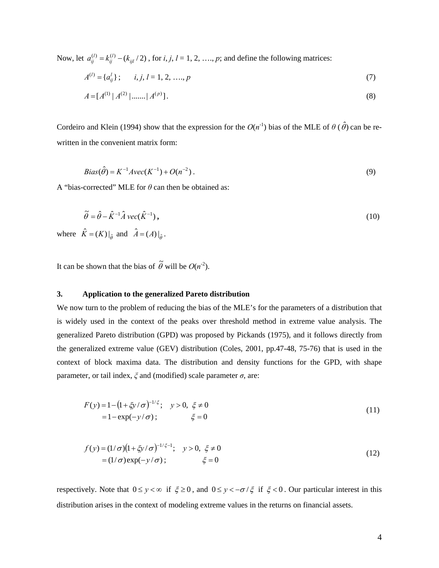Now, let  $a_{ij}^{(l)} = k_{ij}^{(l)} - (k_{ijl}/2)$ , for *i*, *j*, *l* = 1, 2, …, *p*; and define the following matrices:

$$
A^{(l)} = \{a_{ij}^l\}; \qquad i, j, l = 1, 2, \dots, p \tag{7}
$$

$$
A = [A^{(1)} | A^{(2)} | \dots | A^{(p)}]. \tag{8}
$$

Cordeiro and Klein (1994) show that the expression for the  $O(n^{-1})$  bias of the MLE of  $\theta$  ( $\hat{\theta}$ ) can be rewritten in the convenient matrix form:

$$
Bias(\hat{\theta}) = K^{-1}Avec(K^{-1}) + O(n^{-2}).
$$
\n(9)

A "bias-corrected" MLE for *θ* can then be obtained as:

$$
\tilde{\theta} = \hat{\theta} - \hat{K}^{-1} \hat{A} \, \text{vec}(\hat{K}^{-1}), \tag{10}
$$

where  $\hat{K} = (K)|_{\hat{\theta}}$  and  $\hat{A} = (A)|_{\hat{\theta}}$ .

It can be shown that the bias of  $\tilde{\theta}$  will be  $O(n^{-2})$ .

## **3. Application to the generalized Pareto distribution**

We now turn to the problem of reducing the bias of the MLE's for the parameters of a distribution that is widely used in the context of the peaks over threshold method in extreme value analysis. The generalized Pareto distribution (GPD) was proposed by Pickands (1975), and it follows directly from the generalized extreme value (GEV) distribution (Coles, 2001, pp.47-48, 75-76) that is used in the context of block maxima data. The distribution and density functions for the GPD, with shape parameter, or tail index,  $\xi$  and (modified) scale parameter  $\sigma$ , are:

$$
F(y) = 1 - (1 + \xi y/\sigma)^{-1/\xi}; \quad y > 0, \ \xi \neq 0
$$
  
= 1 - exp(-y/\sigma); \qquad \xi = 0 \tag{11}

$$
f(y) = (1/\sigma)(1 + \xi y/\sigma)^{-1/\xi - 1}; \quad y > 0, \xi \neq 0
$$
  
= (1/\sigma)exp(-y/\sigma); \qquad \xi = 0 \qquad (12)

respectively. Note that  $0 \le y < \infty$  if  $\xi \ge 0$ , and  $0 \le y < -\sigma/\xi$  if  $\xi < 0$ . Our particular interest in this distribution arises in the context of modeling extreme values in the returns on financial assets.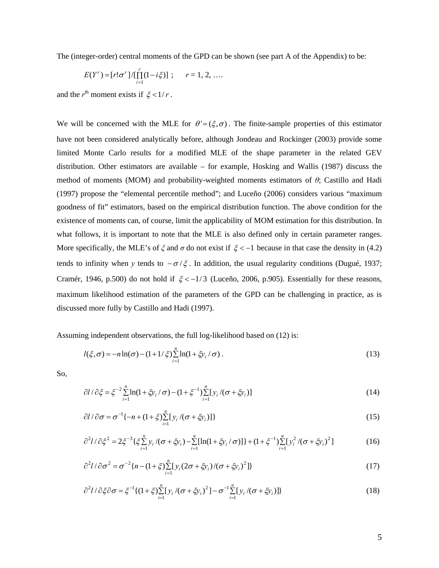The (integer-order) central moments of the GPD can be shown (see part A of the Appendix) to be:

$$
E(Y^r) = [r! \sigma^r] / [\prod_{i=1}^r (1 - i\xi)] \ ; \quad r = 1, 2, \ldots
$$

and the  $r<sup>th</sup>$  moment exists if  $\xi < 1/r$ .

We will be concerned with the MLE for  $\theta' = (\xi, \sigma)$ . The finite-sample properties of this estimator have not been considered analytically before, although Jondeau and Rockinger (2003) provide some limited Monte Carlo results for a modified MLE of the shape parameter in the related GEV distribution. Other estimators are available – for example, Hosking and Wallis (1987) discuss the method of moments (MOM) and probability-weighted moments estimators of *θ*; Castillo and Hadi (1997) propose the "elemental percentile method"; and Luceño (2006) considers various "maximum goodness of fit" estimators, based on the empirical distribution function. The above condition for the existence of moments can, of course, limit the applicability of MOM estimation for this distribution. In what follows, it is important to note that the MLE is also defined only in certain parameter ranges. More specifically, the MLE's of  $\xi$  and  $\sigma$  do not exist if  $\xi < -1$  because in that case the density in (4.2) tends to infinity when *y* tends to  $-\sigma/\xi$ . In addition, the usual regularity conditions (Dugué, 1937; Cramér, 1946, p.500) do not hold if  $\xi < -1/3$  (Luceño, 2006, p.905). Essentially for these reasons, maximum likelihood estimation of the parameters of the GPD can be challenging in practice, as is discussed more fully by Castillo and Hadi (1997).

Assuming independent observations, the full log-likelihood based on (12) is:

$$
l(\xi,\sigma) = -n\ln(\sigma) - (1+1/\xi)\sum_{i=1}^{n}\ln(1+\xi y_i/\sigma).
$$
 (13)

So,

$$
\partial l / \partial \xi = \xi^{-2} \sum_{i=1}^{n} \ln(1 + \xi y_i / \sigma) - (1 + \xi^{-1}) \sum_{i=1}^{n} [y_i / (\sigma + \xi y_i)] \tag{14}
$$

$$
\partial l / \partial \sigma = \sigma^{-1} \{ -n + (1 + \xi) \sum_{i=1}^{n} [y_i / (\sigma + \xi y_i)] \}
$$
\n(15)

$$
\partial^2 l / \partial \xi^2 = 2 \xi^{-3} \{ \xi \sum_{i=1}^n y_i / (\sigma + \xi y_i) - \sum_{i=1}^n [\ln(1 + \xi y_i / \sigma)] \} + (1 + \xi^{-1}) \sum_{i=1}^n [y_i^2 / (\sigma + \xi y_i)^2]
$$
(16)

$$
\partial^2 l / \partial \sigma^2 = \sigma^{-2} \{ n - (1 + \xi) \sum_{i=1}^n [y_i (2\sigma + \xi y_i) / (\sigma + \xi y_i)^2] \}
$$
(17)

$$
\partial^2 l / \partial \xi \partial \sigma = \xi^{-1} \{ (1 + \xi) \sum_{i=1}^n [y_i / (\sigma + \xi y_i)^2] - \sigma^{-1} \sum_{i=1}^n [y_i / (\sigma + \xi y_i)] \}
$$
(18)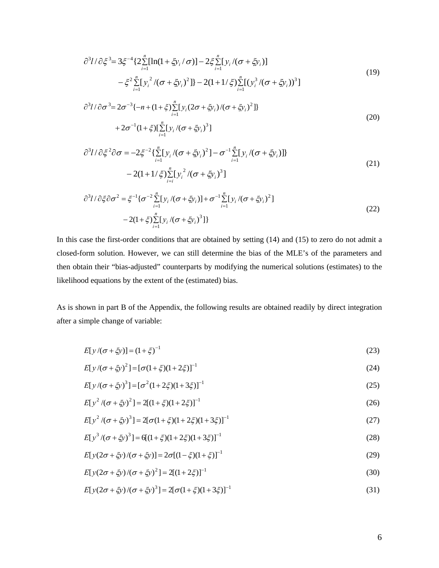$$
\partial^3 l/\partial \xi^3 = 3\xi^{-4} \{ 2 \sum_{i=1}^n [\ln(1 + \xi y_i / \sigma)] - 2\xi \sum_{i=1}^n [y_i / (\sigma + \xi y_i)] - \xi^2 \sum_{i=1}^n [y_i^2 / (\sigma + \xi y_i)^2] \} - 2(1 + 1/\xi) \sum_{i=1}^n [(y_i^3 / (\sigma + \xi y_i))^3]
$$
\n(19)

$$
\partial^3 l / \partial \sigma^3 = 2\sigma^{-3} \{-n + (1 + \xi) \sum_{i=1}^n [y_i (2\sigma + \xi y_i) / (\sigma + \xi y_i)^2]\}
$$
  
+ 
$$
2\sigma^{-1} (1 + \xi) [\sum_{i=1}^n [y_i / (\sigma + \xi y_i)^3]
$$
 (20)

$$
\partial^3 l/\partial \xi^2 \partial \sigma = -2\xi^{-2} \{\sum_{i=1}^n [y_i/(\sigma + \xi y_i)^2] - \sigma^{-1} \sum_{i=1}^n [y_i/(\sigma + \xi y_i)]\}
$$
  
-2(1+1/\xi)  $\sum_{i=1}^n [y_i^2/(\sigma + \xi y_i)^3]$  (21)

$$
\partial^3 l / \partial \xi \partial \sigma^2 = \xi^{-1} \{ \sigma^{-2} \sum_{i=1}^n [y_i / (\sigma + \xi y_i)] + \sigma^{-1} \sum_{i=1}^n [y_i / (\sigma + \xi y_i)^2 ]
$$
  
-2(1 + \xi)  $\sum_{i=1}^n [y_i / (\sigma + \xi y_i)^3 ] \}$  (22)

In this case the first-order conditions that are obtained by setting (14) and (15) to zero do not admit a closed-form solution. However, we can still determine the bias of the MLE's of the parameters and then obtain their "bias-adjusted" counterparts by modifying the numerical solutions (estimates) to the likelihood equations by the extent of the (estimated) bias.

As is shown in part B of the Appendix, the following results are obtained readily by direct integration after a simple change of variable:

$$
E[y/(\sigma + \xi y)] = (1 + \xi)^{-1}
$$
\n(23)

$$
E[y/(\sigma + \zeta y)^2] = [\sigma(1 + \zeta)(1 + 2\zeta)]^{-1}
$$
\n(24)

$$
E[y/(\sigma + \xi y)^3] = [\sigma^2 (1 + 2\xi)(1 + 3\xi)]^{-1}
$$
\n(25)

$$
E[y^2/(\sigma + \zeta y)^2] = 2[(1 + \zeta)(1 + 2\zeta)]^{-1}
$$
\n(26)

$$
E[y^2/(\sigma + \xi y)^3] = 2[\sigma(1 + \xi)(1 + 2\xi)(1 + 3\xi)]^{-1}
$$
\n(27)

$$
E[y^3/(\sigma + \zeta y)^3] = 6[(1 + \zeta)(1 + 2\zeta)(1 + 3\zeta)]^{-1}
$$
\n(28)

$$
E[y(2\sigma + \xi y)/(\sigma + \xi y)] = 2\sigma[(1 - \xi)(1 + \xi)]^{-1}
$$
\n(29)

$$
E[y(2\sigma + \xi y)/(\sigma + \xi y)^2] = 2[(1 + 2\xi)]^{-1}
$$
\n(30)

$$
E[y(2\sigma + \xi y)/(\sigma + \xi y)^3] = 2[\sigma(1 + \xi)(1 + 3\xi)]^{-1}
$$
\n(31)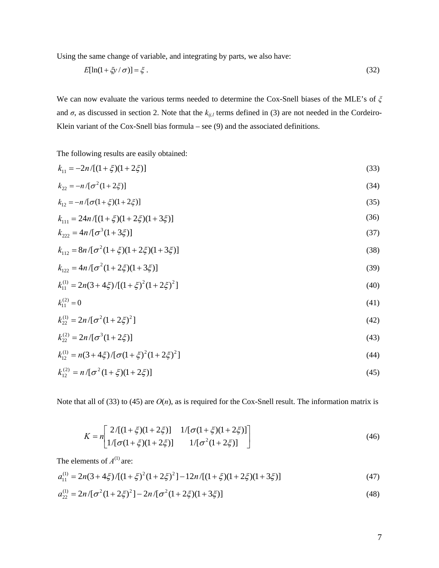Using the same change of variable, and integrating by parts, we also have:

$$
E[\ln(1+\xi y/\sigma)] = \xi.
$$
\n(32)

We can now evaluate the various terms needed to determine the Cox-Snell biases of the MLE's of *ξ* and  $\sigma$ , as discussed in section 2. Note that the  $k_{ij,l}$  terms defined in (3) are not needed in the Cordeiro-Klein variant of the Cox-Snell bias formula – see (9) and the associated definitions.

The following results are easily obtained:

$$
k_{11} = -2n/[(1+\xi)(1+2\xi)]
$$
\n(33)

$$
k_{22} = -n/[\sigma^2(1+2\xi)]
$$
\n(34)

$$
k_{12} = -n/[\sigma(1+\xi)(1+2\xi)]
$$
\n(35)

$$
k_{111} = 24n/[(1+\xi)(1+2\xi)(1+3\xi)]
$$
\n(36)

$$
k_{222} = 4n/[\sigma^3(1+3\xi)]
$$
\n(37)

$$
k_{112} = 8n/[\sigma^2(1+\xi)(1+2\xi)(1+3\xi)]
$$
\n(38)

$$
k_{122} = 4n/[\sigma^2(1+2\xi)(1+3\xi)]
$$
\n(39)

$$
k_{11}^{(1)} = 2n(3+4\xi)/[(1+\xi)^2(1+2\xi)^2]
$$
\n(40)

$$
k_{11}^{(2)} = 0 \tag{41}
$$

$$
k_{22}^{(1)} = 2n/[\sigma^2(1+2\xi)^2]
$$
 (42)

$$
k_{22}^{(2)} = 2n/[\sigma^3(1+2\xi)] \tag{43}
$$

$$
k_{12}^{(1)} = n(3 + 4\xi)/[\sigma(1 + \xi)^2(1 + 2\xi)^2]
$$
\n(44)

$$
k_{12}^{(2)} = n/[\sigma^2(1+\xi)(1+2\xi)] \tag{45}
$$

Note that all of (33) to (45) are  $O(n)$ , as is required for the Cox-Snell result. The information matrix is

$$
K = n \left[ \frac{2/[(1+\xi)(1+2\xi)]}{1/[\sigma(1+\xi)(1+2\xi)]} \right] \frac{1/[\sigma(1+\xi)(1+2\xi)]}{1/[\sigma^2(1+2\xi)]} \tag{46}
$$

The elements of  $A^{(1)}$  are:

$$
a_{11}^{(1)} = 2n(3+4\xi)/[(1+\xi)^2(1+2\xi)^2] - 12n/[(1+\xi)(1+2\xi)(1+3\xi)]
$$
\n(47)

$$
a_{22}^{(1)} = 2n/[\sigma^2(1+2\xi)^2] - 2n/[\sigma^2(1+2\xi)(1+3\xi)]
$$
\n(48)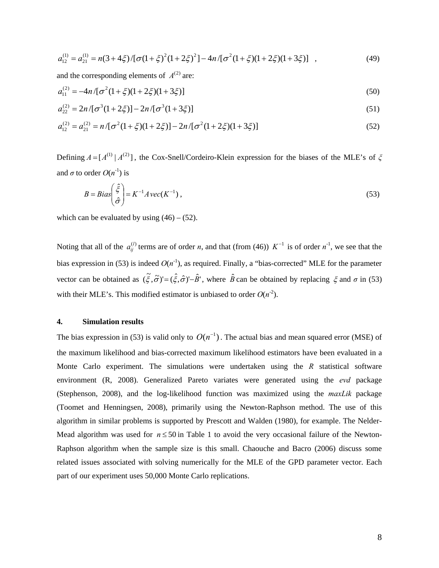$$
a_{12}^{(1)} = a_{21}^{(1)} = n(3+4\xi)/[\sigma(1+\xi)^2(1+2\xi)^2] - 4n/[\sigma^2(1+\xi)(1+2\xi)(1+3\xi)] \quad , \tag{49}
$$

and the corresponding elements of  $A^{(2)}$  are:

$$
a_{11}^{(2)} = -4n/[\sigma^2(1+\xi)(1+2\xi)(1+3\xi)]
$$
\n(50)

$$
a_{22}^{(2)} = 2n/[\sigma^3(1+2\xi)] - 2n/[\sigma^3(1+3\xi)]
$$
\n(51)

$$
a_{12}^{(2)} = a_{21}^{(2)} = n/[\sigma^2(1+\xi)(1+2\xi)] - 2n/[\sigma^2(1+2\xi)(1+3\xi)]
$$
\n(52)

Defining  $A = [A^{(1)} | A^{(2)}]$ , the Cox-Snell/Cordeiro-Klein expression for the biases of the MLE's of  $\zeta$ and  $\sigma$  to order  $O(n^{-1})$  is

$$
B = Bias\left(\frac{\hat{\xi}}{\hat{\sigma}}\right) = K^{-1}A\text{vec}(K^{-1}),\tag{53}
$$

which can be evaluated by using  $(46) - (52)$ .

Noting that all of the  $a_{ij}^{(l)}$  terms are of order *n*, and that (from (46))  $K^{-1}$  is of order  $n^{-1}$ , we see that the bias expression in (53) is indeed  $O(n^{-1})$ , as required. Finally, a "bias-corrected" MLE for the parameter vector can be obtained as  $(\tilde{\xi}, \tilde{\sigma})' = (\hat{\xi}, \hat{\sigma})' - \hat{B}'$ , where  $\hat{B}$  can be obtained by replacing  $\xi$  and  $\sigma$  in (53) with their MLE's. This modified estimator is unbiased to order  $O(n^2)$ .

## **4. Simulation results**

The bias expression in (53) is valid only to  $O(n^{-1})$ . The actual bias and mean squared error (MSE) of the maximum likelihood and bias-corrected maximum likelihood estimators have been evaluated in a Monte Carlo experiment. The simulations were undertaken using the *R* statistical software environment (R, 2008). Generalized Pareto variates were generated using the *evd* package (Stephenson, 2008), and the log-likelihood function was maximized using the *maxLik* package (Toomet and Henningsen, 2008), primarily using the Newton-Raphson method. The use of this algorithm in similar problems is supported by Prescott and Walden (1980), for example. The Nelder-Mead algorithm was used for  $n \leq 50$  in Table 1 to avoid the very occasional failure of the Newton-Raphson algorithm when the sample size is this small. Chaouche and Bacro (2006) discuss some related issues associated with solving numerically for the MLE of the GPD parameter vector. Each part of our experiment uses 50,000 Monte Carlo replications.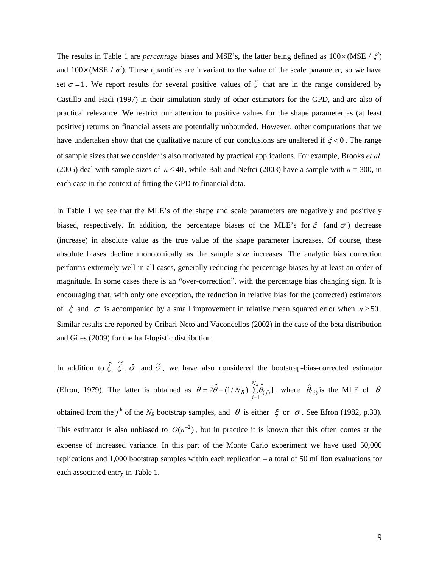The results in Table 1 are *percentage* biases and MSE's, the latter being defined as  $100 \times (MSE / \zeta^2)$ and  $100\times(MSE / \sigma^2)$ . These quantities are invariant to the value of the scale parameter, so we have set  $\sigma = 1$ . We report results for several positive values of  $\xi$  that are in the range considered by Castillo and Hadi (1997) in their simulation study of other estimators for the GPD, and are also of practical relevance. We restrict our attention to positive values for the shape parameter as (at least positive) returns on financial assets are potentially unbounded. However, other computations that we have undertaken show that the qualitative nature of our conclusions are unaltered if  $\xi < 0$ . The range of sample sizes that we consider is also motivated by practical applications. For example, Brooks *et al*. (2005) deal with sample sizes of  $n \le 40$ , while Bali and Neftci (2003) have a sample with  $n = 300$ , in each case in the context of fitting the GPD to financial data.

In Table 1 we see that the MLE's of the shape and scale parameters are negatively and positively biased, respectively. In addition, the percentage biases of the MLE's for  $\xi$  (and  $\sigma$ ) decrease (increase) in absolute value as the true value of the shape parameter increases. Of course, these absolute biases decline monotonically as the sample size increases. The analytic bias correction performs extremely well in all cases, generally reducing the percentage biases by at least an order of magnitude. In some cases there is an "over-correction", with the percentage bias changing sign. It is encouraging that, with only one exception, the reduction in relative bias for the (corrected) estimators of  $\xi$  and  $\sigma$  is accompanied by a small improvement in relative mean squared error when  $n \ge 50$ . Similar results are reported by Cribari-Neto and Vaconcellos (2002) in the case of the beta distribution and Giles (2009) for the half-logistic distribution.

In addition to  $\hat{\xi}$ ,  $\tilde{\xi}$ ,  $\hat{\sigma}$  and  $\tilde{\sigma}$ , we have also considered the bootstrap-bias-corrected estimator (Efron, 1979). The latter is obtained as  $\bar{\theta} = 2\bar{\theta} - (1/N_B)[\Sigma]$ = *NB*  $\tilde{\theta} = 2\hat{\theta} - (1/N_B)[\sum_{j=1}^{N_B} \hat{\theta}_{(j)}],$  where  $\hat{\theta}_{(j)}$  is the MLE of  $\theta$ obtained from the *j*<sup>th</sup> of the *N<sub>B</sub>* bootstrap samples, and  $\theta$  is either  $\xi$  or  $\sigma$ . See Efron (1982, p.33). This estimator is also unbiased to  $O(n^{-2})$ , but in practice it is known that this often comes at the expense of increased variance. In this part of the Monte Carlo experiment we have used 50,000 replications and 1,000 bootstrap samples within each replication – a total of 50 million evaluations for each associated entry in Table 1.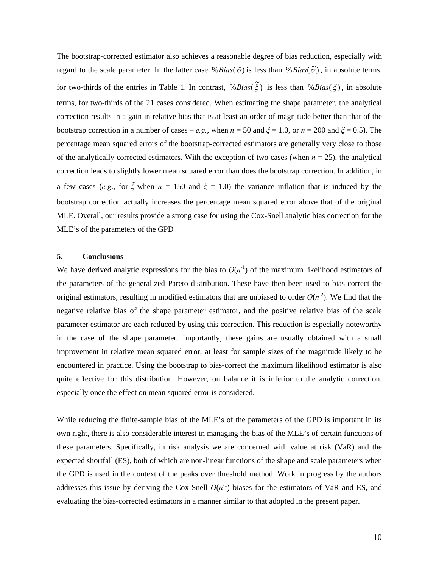The bootstrap-corrected estimator also achieves a reasonable degree of bias reduction, especially with regard to the scale parameter. In the latter case % *Bias*( $\tilde{\sigma}$ ) is less than % *Bias*( $\tilde{\sigma}$ ), in absolute terms, for two-thirds of the entries in Table 1. In contrast,  $\% Bias(\tilde{\xi})$  is less than  $\% Bias(\tilde{\xi})$ , in absolute terms, for two-thirds of the 21 cases considered. When estimating the shape parameter, the analytical correction results in a gain in relative bias that is at least an order of magnitude better than that of the bootstrap correction in a number of cases – *e.g.*, when  $n = 50$  and  $\zeta = 1.0$ , or  $n = 200$  and  $\zeta = 0.5$ ). The percentage mean squared errors of the bootstrap-corrected estimators are generally very close to those of the analytically corrected estimators. With the exception of two cases (when  $n = 25$ ), the analytical correction leads to slightly lower mean squared error than does the bootstrap correction. In addition, in a few cases (*e.g.*, for  $\zeta$  when  $n = 150$  and  $\zeta = 1.0$ ) the variance inflation that is induced by the bootstrap correction actually increases the percentage mean squared error above that of the original MLE. Overall, our results provide a strong case for using the Cox-Snell analytic bias correction for the MLE's of the parameters of the GPD

#### **5. Conclusions**

We have derived analytic expressions for the bias to  $O(n^{-1})$  of the maximum likelihood estimators of the parameters of the generalized Pareto distribution. These have then been used to bias-correct the original estimators, resulting in modified estimators that are unbiased to order  $O(n<sup>-2</sup>)$ . We find that the negative relative bias of the shape parameter estimator, and the positive relative bias of the scale parameter estimator are each reduced by using this correction. This reduction is especially noteworthy in the case of the shape parameter. Importantly, these gains are usually obtained with a small improvement in relative mean squared error, at least for sample sizes of the magnitude likely to be encountered in practice. Using the bootstrap to bias-correct the maximum likelihood estimator is also quite effective for this distribution. However, on balance it is inferior to the analytic correction, especially once the effect on mean squared error is considered.

While reducing the finite-sample bias of the MLE's of the parameters of the GPD is important in its own right, there is also considerable interest in managing the bias of the MLE's of certain functions of these parameters. Specifically, in risk analysis we are concerned with value at risk (VaR) and the expected shortfall (ES), both of which are non-linear functions of the shape and scale parameters when the GPD is used in the context of the peaks over threshold method. Work in progress by the authors addresses this issue by deriving the Cox-Snell  $O(n<sup>-1</sup>)$  biases for the estimators of VaR and ES, and evaluating the bias-corrected estimators in a manner similar to that adopted in the present paper.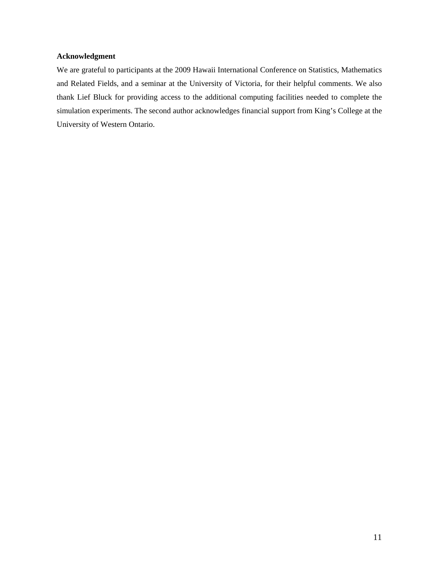## **Acknowledgment**

We are grateful to participants at the 2009 Hawaii International Conference on Statistics, Mathematics and Related Fields, and a seminar at the University of Victoria, for their helpful comments. We also thank Lief Bluck for providing access to the additional computing facilities needed to complete the simulation experiments. The second author acknowledges financial support from King's College at the University of Western Ontario.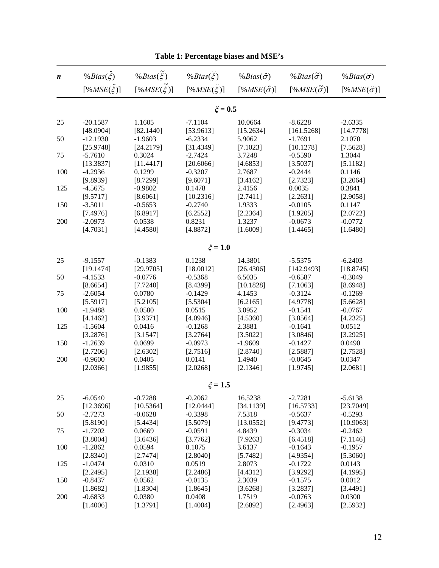| $\boldsymbol{n}$ | % Bias( $\hat{\xi}$ ) | % Bias( $\xi$ )       | % Bias( $\xi$ )    | % $Bias(\hat{\sigma})$ | % Bias $(\tilde{\sigma})$ | % $Bias(\vec{\sigma})$     |
|------------------|-----------------------|-----------------------|--------------------|------------------------|---------------------------|----------------------------|
|                  | $[%MSE(\hat{\xi})]$   | $[%MSE(\tilde{\xi})]$ | $[%MSE(\xi)]$      | $[%MSE(\hat{\sigma})]$ | $[%MSE(\tilde{\sigma})]$  | [% $MSE(\breve{\sigma})$ ] |
|                  |                       |                       | $\xi = 0.5$        |                        |                           |                            |
| 25               | $-20.1587$            | 1.1605                | $-7.1104$          | 10.0664                | $-8.6228$                 | $-2.6335$                  |
|                  | [48.0904]             | [82.1440]             | [53.9613]          | [15.2634]              | [161.5268]                | [14.7778]                  |
| 50               | $-12.1930$            | $-1.9603$             | $-6.2334$          | 5.9062                 | $-1.7691$                 | 2.1070                     |
|                  | [25.9748]             | [24.2179]             | [31.4349]          | [7.1023]               | [10.1278]                 | [7.5628]                   |
| 75               | $-5.7610$             | 0.3024                | $-2.7424$          | 3.7248                 | $-0.5590$                 | 1.3044                     |
|                  | [13.3837]             | [11.4417]             | [20.6066]          | [4.6853]               | [3.5037]                  | [5.1182]                   |
| 100              | $-4.2936$             | 0.1299                | $-0.3207$          | 2.7687                 | $-0.2444$                 | 0.1146                     |
|                  | [9.8939]              | [8.7299]              | [9.6071]           | [3.4162]               | [2.7323]                  | [3.2064]                   |
| 125              | $-4.5675$             | $-0.9802$             | 0.1478             | 2.4156                 | 0.0035                    | 0.3841                     |
|                  | [9.5717]              | [8.6061]              | [10.2316]          | [2.7411]               | [2.2631]                  | [2.9058]                   |
| 150              | $-3.5011$             | $-0.5653$             | $-0.2740$          | 1.9333                 | $-0.0105$                 | 0.1147                     |
|                  | [7.4976]              | [6.8917]              | [6.2552]           | [2.2364]               | [1.9205]                  | [2.0722]                   |
| 200              | $-2.0973$             | 0.0538                | 0.8231             | 1.3237                 | $-0.0673$                 | $-0.0772$                  |
|                  | [4.7031]              | [4.4580]              | [4.8872]           | [1.6009]               | [1.4465]                  | [1.6480]                   |
| $\xi = 1.0$      |                       |                       |                    |                        |                           |                            |
| 25               | $-9.1557$             | $-0.1383$             | 0.1238             | 14.3801                | $-5.5375$                 | $-6.2403$                  |
|                  | [19.1474]             | [29.9705]             | [18.0012]          | [26.4306]              | [142.9493]                | [18.8745]                  |
| 50               | $-4.1533$             | $-0.0776$             | $-0.5368$          | 6.5035                 | $-0.6587$                 | $-0.3049$                  |
|                  | [8.6654]              | [7.7240]              | [8.4399]           | [10.1828]              | [7.1063]                  | [8.6948]                   |
| 75               | $-2.6054$             | 0.0780                | $-0.1429$          | 4.1453                 | $-0.3124$                 | $-0.1269$                  |
|                  | [5.5917]              | [5.2105]              | [5.5304]           | [6.2165]               | [4.9778]                  | [5.6628]                   |
| 100              | $-1.9488$             | 0.0580                | 0.0515             | 3.0952                 | $-0.1541$                 | $-0.0767$                  |
|                  | [4.1462]              | [3.9371]              | [4.0946]           | [4.5360]               | [3.8564]                  | [4.2325]                   |
| 125              | $-1.5604$             | 0.0416                | $-0.1268$          | 2.3881                 | $-0.1641$                 | 0.0512                     |
|                  | [3.2876]              | [3.1547]              | [3.2764]           | [3.5022]               | [3.0846]                  | [3.2925]                   |
| 150              | $-1.2639$             | 0.0699                | $-0.0973$          | $-1.9609$              | $-0.1427$                 | 0.0490                     |
|                  | [2.7206]<br>$-0.9600$ | [2.6302]              | [2.7516]           | [2.8740]               | [2.5887]                  | [2.7528]                   |
| 200              | [2.0366]              | 0.0405<br>[1.9855]    | 0.0141<br>[2.0268] | 1.4940<br>[2.1346]     | $-0.0645$<br>[1.9745]     | 0.0347<br>[2.0681]         |
|                  |                       |                       |                    |                        |                           |                            |
| $\xi = 1.5$      |                       |                       |                    |                        |                           |                            |
| 25               | $-6.0540$             | $-0.7288$             | $-0.2062$          | 16.5238                | $-2.7281$                 | $-5.6138$                  |
|                  | [12.3696]             | [10.5364]             | [12.0444]          | [34.1139]              | [16.5733]                 | [23.7049]                  |
| 50               | $-2.7273$             | $-0.0628$             | $-0.3398$          | 7.5318                 | $-0.5637$                 | $-0.5293$                  |
|                  | [5.8190]              | [5.4434]              | [5.5079]           | [13.0552]              | [9.4773]                  | [10.9063]                  |
| 75               | $-1.7202$             | 0.0669                | $-0.0591$          | 4.8439                 | $-0.3034$                 | $-0.2462$                  |
|                  | [3.8004]              | [3.6436]              | [3.7762]           | [7.9263]               | [6.4518]                  | [7.1146]                   |
| 100              | $-1.2862$<br>[2.8340] | 0.0594<br>[2.7474]    | 0.1075<br>[2.8040] | 3.6137<br>[5.7482]     | $-0.1643$<br>[4.9354]     | $-0.1957$<br>[5.3060]      |
| 125              | $-1.0474$             | 0.0310                | 0.0519             | 2.8073                 | $-0.1722$                 | 0.0143                     |
|                  | [2.2495]              | [2.1938]              | [2.2486]           | [4.4312]               | [3.9292]                  | [4.1995]                   |
| 150              | $-0.8437$             | 0.0562                | $-0.0135$          | 2.3039                 | $-0.1575$                 | 0.0012                     |
|                  | [1.8682]              | [1.8304]              | [1.8645]           | [3.6268]               | [3.2837]                  | [3.4491]                   |
| 200              | $-0.6833$             | 0.0380                | 0.0408             | 1.7519                 | $-0.0763$                 | 0.0300                     |
|                  | [1.4006]              | [1.3791]              | [1.4004]           | [2.6892]               | [2.4963]                  | [2.5932]                   |

|  | Table 1: Percentage biases and MSE's |  |  |
|--|--------------------------------------|--|--|
|--|--------------------------------------|--|--|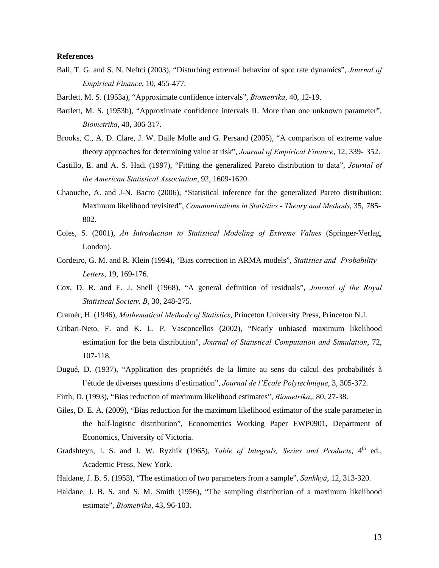#### **References**

- Bali, T. G. and S. N. Neftci (2003), "Disturbing extremal behavior of spot rate dynamics", *Journal of Empirical Finance*, 10, 455-477.
- Bartlett, M. S. (1953a), "Approximate confidence intervals", *Biometrika*, 40, 12-19.
- Bartlett, M. S. (1953b), "Approximate confidence intervals II. More than one unknown parameter", *Biometrika*, 40, 306-317.
- Brooks, C., A. D. Clare, J. W. Dalle Molle and G. Persand (2005), "A comparison of extreme value theory approaches for determining value at risk", *Journal of Empirical Finance*, 12, 339- 352.
- Castillo, E. and A. S. Hadi (1997), "Fitting the generalized Pareto distribution to data", *Journal of the American Statistical Association*, 92, 1609-1620.
- Chaouche, A. and J-N. Bacro (2006), "Statistical inference for the generalized Pareto distribution: Maximum likelihood revisited", *Communications in Statistics - Theory and Methods*, 35, 785- 802.
- Coles, S. (2001), *An Introduction to Statistical Modeling of Extreme Values* (Springer-Verlag, London).
- Cordeiro, G. M. and R. Klein (1994), "Bias correction in ARMA models", *Statistics and Probability Letters*, 19, 169-176.
- Cox, D. R. and E. J. Snell (1968), "A general definition of residuals", *Journal of the Royal Statistical Society, B*, 30, 248-275.
- Cramér, H. (1946), *Mathematical Methods of Statistics*, Princeton University Press, Princeton N.J.
- Cribari-Neto, F. and K. L. P. Vasconcellos (2002), "Nearly unbiased maximum likelihood estimation for the beta distribution", *Journal of Statistical Computation and Simulation*, 72, 107-118.
- Dugué, D. (1937), "Application des propriétés de la limite au sens du calcul des probabilités à l'étude de diverses questions d'estimation", *Journal de l'École Polytechnique*, 3, 305-372.
- Firth, D. (1993), "Bias reduction of maximum likelihood estimates", *Biometrika*,, 80, 27-38.
- Giles, D. E. A. (2009), "Bias reduction for the maximum likelihood estimator of the scale parameter in the half-logistic distribution", Econometrics Working Paper EWP0901, Department of Economics, University of Victoria.
- Gradshteyn, I. S. and I. W. Ryzhik (1965), *Table of Integrals, Series and Products*, 4<sup>th</sup> ed., Academic Press, New York.
- Haldane, J. B. S. (1953), "The estimation of two parameters from a sample", *Sankhyā*, 12, 313-320.
- Haldane, J. B. S. and S. M. Smith (1956), "The sampling distribution of a maximum likelihood estimate", *Biometrika*, 43, 96-103.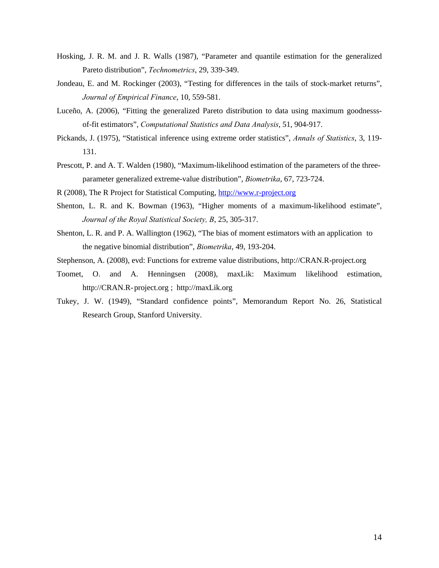- Hosking, J. R. M. and J. R. Walls (1987), "Parameter and quantile estimation for the generalized Pareto distribution", *Technometrics*, 29, 339-349.
- Jondeau, E. and M. Rockinger (2003), "Testing for differences in the tails of stock-market returns", *Journal of Empirical Finance*, 10, 559-581.
- Luceño, A. (2006), "Fitting the generalized Pareto distribution to data using maximum goodnesss of-fit estimators", *Computational Statistics and Data Analysis*, 51, 904-917.
- Pickands, J. (1975), "Statistical inference using extreme order statistics", *Annals of Statistics*, 3, 119- 131.
- Prescott, P. and A. T. Walden (1980), "Maximum-likelihood estimation of the parameters of the three parameter generalized extreme-value distribution", *Biometrika*, 67, 723-724.
- R (2008), The R Project for Statistical Computing, http://www.r-project.org
- Shenton, L. R. and K. Bowman (1963), "Higher moments of a maximum-likelihood estimate", *Journal of the Royal Statistical Society, B*, 25, 305-317.
- Shenton, L. R. and P. A. Wallington (1962), "The bias of moment estimators with an application to the negative binomial distribution", *Biometrika*, 49, 193-204.
- Stephenson, A. (2008), evd: Functions for extreme value distributions, http://CRAN.R-project.org
- Toomet, O. and A. Henningsen (2008), maxLik: Maximum likelihood estimation, http://CRAN.R- project.org ; http://maxLik.org
- Tukey, J. W. (1949), "Standard confidence points", Memorandum Report No. 26, Statistical Research Group, Stanford University.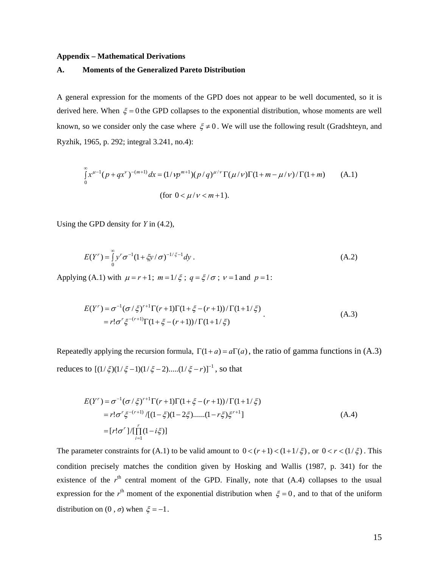#### **Appendix – Mathematical Derivations**

#### **A. Moments of the Generalized Pareto Distribution**

A general expression for the moments of the GPD does not appear to be well documented, so it is derived here. When  $\xi = 0$  the GPD collapses to the exponential distribution, whose moments are well known, so we consider only the case where  $\xi \neq 0$ . We will use the following result (Gradshteyn, and Ryzhik, 1965, p. 292; integral 3.241, no.4):

$$
\int_{0}^{\infty} x^{\mu-1} (p+qx^{\nu})^{-(m+1)} dx = (1/\gamma p^{m+1})(p/q)^{\mu/\nu} \Gamma(\mu/\nu) \Gamma(1+m-\mu/\nu) / \Gamma(1+m)
$$
 (A.1)  
(for  $0 < \mu/\nu < m+1$ ).

Using the GPD density for *Y* in (4.2),

$$
E(Y^r) = \int_0^\infty y^r \sigma^{-1} (1 + \xi y / \sigma)^{-1/\xi - 1} dy.
$$
 (A.2)

Applying (A.1) with  $\mu = r + 1$ ;  $m = 1/\xi$ ;  $q = \xi/\sigma$ ;  $v = 1$  and  $p = 1$ :

$$
E(Y^{r}) = \sigma^{-1} (\sigma/\xi)^{r+1} \Gamma(r+1) \Gamma(1+\xi-(r+1))/\Gamma(1+1/\xi)
$$
  
=  $r! \sigma^{r} \xi^{-(r+1)} \Gamma(1+\xi-(r+1))/\Gamma(1+1/\xi)$  (A.3)

Repeatedly applying the recursion formula,  $\Gamma(1 + a) = a\Gamma(a)$ , the ratio of gamma functions in (A.3) reduces to  $[(1/\xi)(1/\xi-1)(1/\xi-2)....(1/\xi-r)]^{-1}$ , so that

$$
E(Y^r) = \sigma^{-1}(\sigma/\xi)^{r+1} \Gamma(r+1) \Gamma(1+\xi-(r+1))/\Gamma(1+1/\xi)
$$
  
=  $r!\sigma^r \xi^{-(r+1)}/[(1-\xi)(1-2\xi).....(1-r\xi)\xi^{r+1}]$   
=  $[r!\sigma^r]/[\prod_{i=1}^r (1-i\xi)]$  (A.4)

The parameter constraints for (A.1) to be valid amount to  $0 < (r+1) < (1+1/\xi)$ , or  $0 < r < (1/\xi)$ . This condition precisely matches the condition given by Hosking and Wallis (1987, p. 341) for the existence of the  $r<sup>th</sup>$  central moment of the GPD. Finally, note that  $(A.4)$  collapses to the usual expression for the  $r<sup>th</sup>$  moment of the exponential distribution when  $\xi = 0$ , and to that of the uniform distribution on  $(0, \sigma)$  when  $\xi = -1$ .